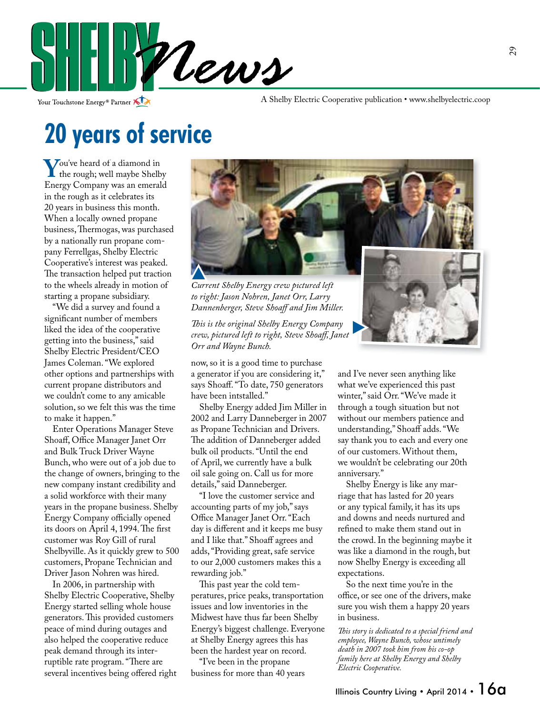

Your Touchstone Energy<sup>®</sup> Partner

A Shelby Electric Cooperative publication • www.shelbyelectric.coop

## **20 years of service**

**Y**ou've heard of a diamond in<br>the rough; well maybe Shelby<br>Eneroy Company was an emerald Energy Company was an emerald in the rough as it celebrates its 20 years in business this month. When a locally owned propane business, Thermogas, was purchased by a nationally run propane company Ferrellgas, Shelby Electric Cooperative's interest was peaked. The transaction helped put traction to the wheels already in motion of starting a propane subsidiary.

 "We did a survey and found a significant number of members liked the idea of the cooperative getting into the business," said Shelby Electric President/CEO James Coleman. "We explored other options and partnerships with current propane distributors and we couldn't come to any amicable solution, so we felt this was the time to make it happen."

 Enter Operations Manager Steve Shoaff, Office Manager Janet Orr and Bulk Truck Driver Wayne Bunch, who were out of a job due to the change of owners, bringing to the new company instant credibility and a solid workforce with their many years in the propane business. Shelby Energy Company officially opened its doors on April 4, 1994. The first customer was Roy Gill of rural Shelbyville. As it quickly grew to 500 customers, Propane Technician and Driver Jason Nohren was hired.

 In 2006, in partnership with Shelby Electric Cooperative, Shelby Energy started selling whole house generators. This provided customers peace of mind during outages and also helped the cooperative reduce peak demand through its interruptible rate program. "There are several incentives being offered right



P

*Current Shelby Energy crew pictured left to right: Jason Nohren, Janet Orr, Larry*  **Dannenberger, Steve Shoaff and Jim Miller.** 

 *is is the original Shelby Energy Company crew, pictured left to right, Steve Shoaff, Janet Orr and Wayne Bunch.*

now, so it is a good time to purchase a generator if you are considering it," says Shoaff. "To date, 750 generators have been intstalled."

 Shelby Energy added Jim Miller in 2002 and Larry Danneberger in 2007 as Propane Technician and Drivers. The addition of Danneberger added bulk oil products. "Until the end of April, we currently have a bulk oil sale going on. Call us for more details," said Danneberger.

 "I love the customer service and accounting parts of my job," says Office Manager Janet Orr. "Each day is different and it keeps me busy and I like that." Shoaff agrees and adds, "Providing great, safe service to our 2,000 customers makes this a rewarding job."

This past year the cold temperatures, price peaks, transportation issues and low inventories in the Midwest have thus far been Shelby Energy's biggest challenge. Everyone at Shelby Energy agrees this has been the hardest year on record.

 "I've been in the propane business for more than 40 years

and I've never seen anything like what we've experienced this past winter," said Orr. "We've made it through a tough situation but not without our members patience and understanding," Shoaff adds. "We say thank you to each and every one of our customers. Without them, we wouldn't be celebrating our 20th anniversary."

 Shelby Energy is like any marriage that has lasted for 20 years or any typical family, it has its ups and downs and needs nurtured and refined to make them stand out in the crowd. In the beginning maybe it was like a diamond in the rough, but now Shelby Energy is exceeding all expectations.

 So the next time you're in the office, or see one of the drivers, make sure you wish them a happy 20 years in business.

This story is dedicated to a special friend and *employee, Wayne Bunch, whose untimely death in 2007 took him from his co-op family here at Shelby Energy and Shelby Electric Cooperative.*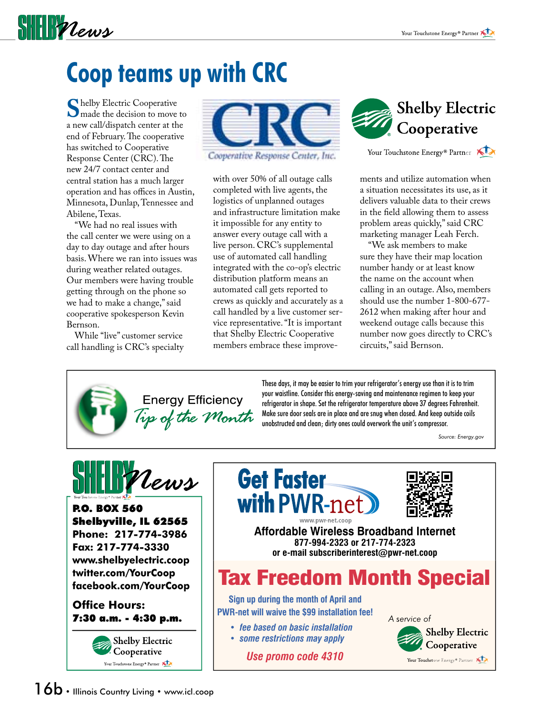

# **Coop teams up with CRC**

**S**helby Electric Cooperative<br>
made the decision to move to<br>
a new call/dispatch center at the a new call/dispatch center at the end of February. The cooperative has switched to Cooperative Response Center (CRC). The new 24/7 contact center and central station has a much larger operation and has offices in Austin, Minnesota, Dunlap, Tennessee and Abilene, Texas.

 "We had no real issues with the call center we were using on a day to day outage and after hours basis. Where we ran into issues was during weather related outages. Our members were having trouble getting through on the phone so we had to make a change," said cooperative spokesperson Kevin Bernson.

 While "live" customer service call handling is CRC's specialty



Cooperative Response Center, Inc.

with over 50% of all outage calls completed with live agents, the logistics of unplanned outages and infrastructure limitation make it impossible for any entity to answer every outage call with a live person. CRC's supplemental use of automated call handling integrated with the co-op's electric distribution platform means an automated call gets reported to crews as quickly and accurately as a call handled by a live customer service representative. "It is important that Shelby Electric Cooperative members embrace these improve-



Your Touchstone Energy® Partner

ments and utilize automation when a situation necessitates its use, as it delivers valuable data to their crews in the field allowing them to assess problem areas quickly," said CRC marketing manager Leah Ferch.

 "We ask members to make sure they have their map location number handy or at least know the name on the account when calling in an outage. Also, members should use the number 1-800-677- 2612 when making after hour and weekend outage calls because this number now goes directly to CRC's circuits," said Bernson.



These days, it may be easier to trim your refrigerator's energy use than it is to trim your waistline. Consider this energy-saving and maintenance regimen to keep your refrigerator in shape. Set the refrigerator temperature above 37 degrees Fahrenheit. Make sure door seals are in place and are snug when closed. And keep outside coils unobstructed and clean; dirty ones could overwork the unit's compressor.

*Source: Energy.gov*



P.O. BOX 560 Shelbyville, IL 62565 **Phone: 217-774-3986 Fax: 217-774-3330 www.shelbyelectric.coop twitter.com/YourCoop facebook.com/YourCoop**

**Office Hours:** 7:30 a.m. - 4:30 p.m.







**Affordable Wireless Broadband Internet 877-994-2323 or 217-774-2323 or e-mail subscriberinterest@pwr-net.coop**

### Tax Freedom Month Special

**Sign up during the month of April and PWR-net will waive the \$99 installation fee!**

*• fee based on basic installation • some restrictions may apply*

*Use promo code 4310*

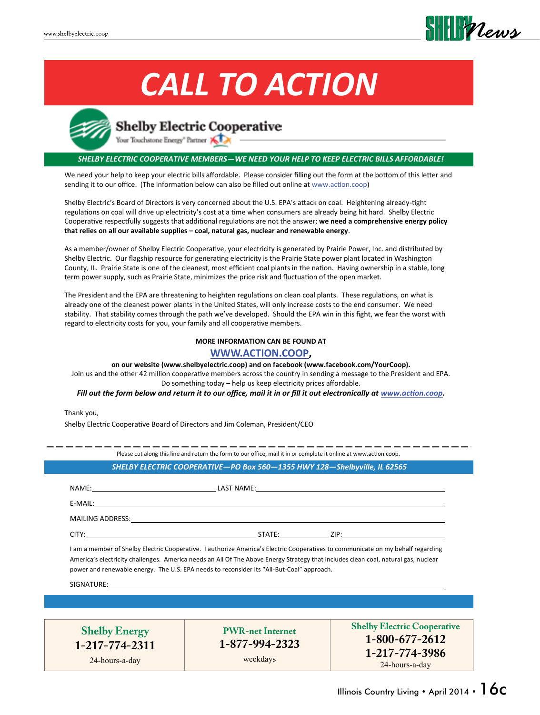

# *CALL TO ACTION*



### **Shelby Electric Cooperative**

Your Touchstone Energy" Partner

#### *SHELBY ELECTRIC COOPERATIVE MEMBERS—WE NEED YOUR HELP TO KEEP ELECTRIC BILLS AFFORDABLE!*

We need your help to keep your electric bills affordable. Please consider filling out the form at the bottom of this letter and sending it to our office. (The information below can also be filled out online at www.action.coop)

Shelby Electric's Board of Directors is very concerned about the U.S. EPA's attack on coal. Heightening already-tight regulations on coal will drive up electricity's cost at a time when consumers are already being hit hard. Shelby Electric Cooperative respectfully suggests that additional regulations are not the answer; **we need a comprehensive energy policy that relies on all our available supplies – coal, natural gas, nuclear and renewable energy**.

As a member/owner of Shelby Electric Cooperative, your electricity is generated by Prairie Power, Inc. and distributed by Shelby Electric. Our flagship resource for generating electricity is the Prairie State power plant located in Washington County, IL. Prairie State is one of the cleanest, most efficient coal plants in the nation. Having ownership in a stable, long term power supply, such as Prairie State, minimizes the price risk and fluctuation of the open market.

The President and the EPA are threatening to heighten regulations on clean coal plants. These regulations, on what is already one of the cleanest power plants in the United States, will only increase costs to the end consumer. We need stability. That stability comes through the path we've developed. Should the EPA win in this fight, we fear the worst with regard to electricity costs for you, your family and all cooperative members.

### **MORE INFORMATION CAN BE FOUND AT**

**WWW.ACTION.COOP, on our website (www.shelbyelectric.coop) and on facebook (www.facebook.com/YourCoop).**

Join us and the other 42 million cooperative members across the country in sending a message to the President and EPA. Do something today – help us keep electricity prices affordable.

*Fill out the form below and return it to our office, mail it in or fill it out electronically at www.action.coop.*

Thank you,

Shelby Electric Cooperative Board of Directors and Jim Coleman, President/CEO

| $E-MAIL:$                                                                                                                                                                                                                                                                                                                                                          |  |
|--------------------------------------------------------------------------------------------------------------------------------------------------------------------------------------------------------------------------------------------------------------------------------------------------------------------------------------------------------------------|--|
|                                                                                                                                                                                                                                                                                                                                                                    |  |
|                                                                                                                                                                                                                                                                                                                                                                    |  |
|                                                                                                                                                                                                                                                                                                                                                                    |  |
| I am a member of Shelby Electric Cooperative. I authorize America's Electric Cooperatives to communicate on my behalf regarding<br>America's electricity challenges. America needs an All Of The Above Energy Strategy that includes clean coal, natural gas, nuclear<br>power and renewable energy. The U.S. EPA needs to reconsider its "All-But-Coal" approach. |  |

**1-217-774-2311** 24-hours-a-day

**PWR-net Internet 1-877-994-2323**

weekdays

**Shelby Electric Cooperative 1-800-677-2612 1-217-774-3986** 24-hours-a-day